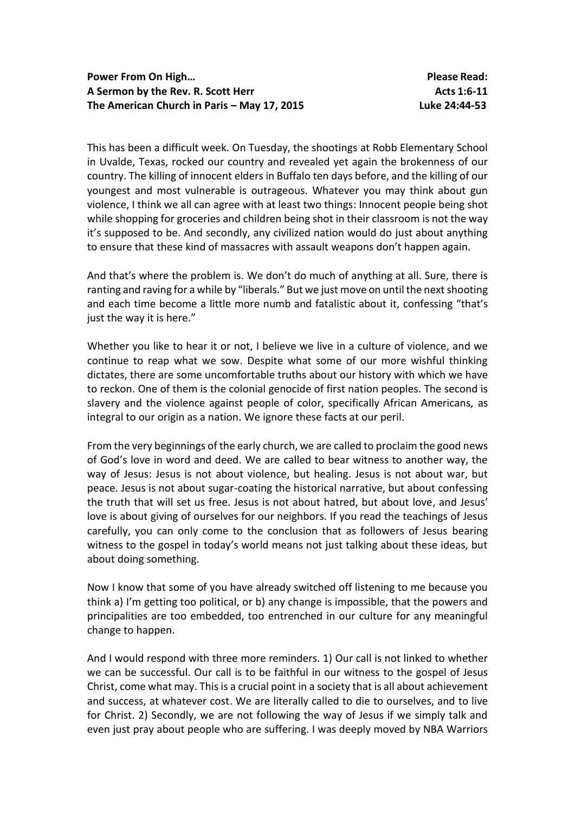This has been a difficult week. On Tuesday, the shootings at Robb Elementary School in Uvalde, Texas, rocked our country and revealed yet again the brokenness of our country. The killing of innocent elders in Buffalo ten days before, and the killing of our youngest and most vulnerable is outrageous. Whatever you may think about gun violence, I think we all can agree with at least two things: Innocent people being shot while shopping for groceries and children being shot in their classroom is not the way it's supposed to be. And secondly, any civilized nation would do just about anything to ensure that these kind of massacres with assault weapons don't happen again.

And that's where the problem is. We don't do much of anything at all. Sure, there is ranting and raving for a while by "liberals." But we just move on until the next shooting and each time become a little more numb and fatalistic about it, confessing "that's just the way it is here."

Whether you like to hear it or not, I believe we live in a culture of violence, and we continue to reap what we sow. Despite what some of our more wishful thinking dictates, there are some uncomfortable truths about our history with which we have to reckon. One of them is the colonial genocide of first nation peoples. The second is slavery and the violence against people of color, specifically African Americans, as integral to our origin as a nation. We ignore these facts at our peril.

From the very beginnings of the early church, we are called to proclaim the good news of God's love in word and deed. We are called to bear witness to another way, the way of Jesus: Jesus is not about violence, but healing. Jesus is not about war, but peace. Jesus is not about sugar-coating the historical narrative, but about confessing the truth that will set us free. Jesus is not about hatred, but about love, and Jesus' love is about giving of ourselves for our neighbors. If you read the teachings of Jesus carefully, you can only come to the conclusion that as followers of Jesus bearing witness to the gospel in today's world means not just talking about these ideas, but about doing something.

Now I know that some of you have already switched off listening to me because you think a) I'm getting too political, or b) any change is impossible, that the powers and principalities are too embedded, too entrenched in our culture for any meaningful change to happen.

And I would respond with three more reminders. 1) Our call is not linked to whether we can be successful. Our call is to be faithful in our witness to the gospel of Jesus Christ, come what may. This is a crucial point in a society that is all about achievement and success, at whatever cost. We are literally called to die to ourselves, and to live for Christ. 2) Secondly, we are not following the way of Jesus if we simply talk and even just pray about people who are suffering. I was deeply moved by NBA Warriors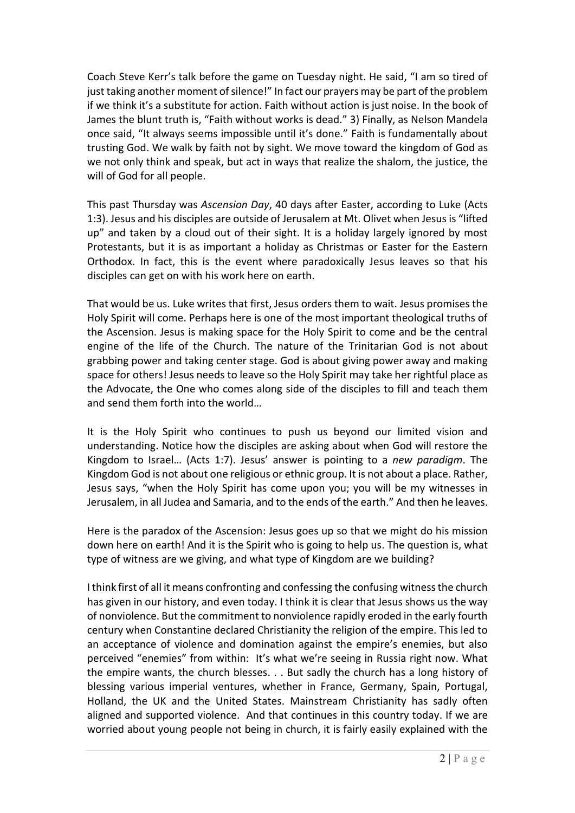Coach Steve Kerr's talk before the game on Tuesday night. He said, "I am so tired of just taking another moment of silence!" In fact our prayers may be part of the problem if we think it's a substitute for action. Faith without action is just noise. In the book of James the blunt truth is, "Faith without works is dead." 3) Finally, as Nelson Mandela once said, "It always seems impossible until it's done." Faith is fundamentally about trusting God. We walk by faith not by sight. We move toward the kingdom of God as we not only think and speak, but act in ways that realize the shalom, the justice, the will of God for all people.

This past Thursday was *Ascension Day*, 40 days after Easter, according to Luke (Acts 1:3). Jesus and his disciples are outside of Jerusalem at Mt. Olivet when Jesus is "lifted up" and taken by a cloud out of their sight. It is a holiday largely ignored by most Protestants, but it is as important a holiday as Christmas or Easter for the Eastern Orthodox. In fact, this is the event where paradoxically Jesus leaves so that his disciples can get on with his work here on earth.

That would be us. Luke writes that first, Jesus orders them to wait. Jesus promises the Holy Spirit will come. Perhaps here is one of the most important theological truths of the Ascension. Jesus is making space for the Holy Spirit to come and be the central engine of the life of the Church. The nature of the Trinitarian God is not about grabbing power and taking center stage. God is about giving power away and making space for others! Jesus needs to leave so the Holy Spirit may take her rightful place as the Advocate, the One who comes along side of the disciples to fill and teach them and send them forth into the world…

It is the Holy Spirit who continues to push us beyond our limited vision and understanding. Notice how the disciples are asking about when God will restore the Kingdom to Israel… (Acts 1:7). Jesus' answer is pointing to a *new paradigm*. The Kingdom God is not about one religious or ethnic group. It is not about a place. Rather, Jesus says, "when the Holy Spirit has come upon you; you will be my witnesses in Jerusalem, in all Judea and Samaria, and to the ends of the earth." And then he leaves.

Here is the paradox of the Ascension: Jesus goes up so that we might do his mission down here on earth! And it is the Spirit who is going to help us. The question is, what type of witness are we giving, and what type of Kingdom are we building?

I think first of all it means confronting and confessing the confusing witness the church has given in our history, and even today. I think it is clear that Jesus shows us the way of nonviolence. But the commitment to nonviolence rapidly eroded in the early fourth century when Constantine declared Christianity the religion of the empire. This led to an acceptance of violence and domination against the empire's enemies, but also perceived "enemies" from within: It's what we're seeing in Russia right now. What the empire wants, the church blesses. . . But sadly the church has a long history of blessing various imperial ventures, whether in France, Germany, Spain, Portugal, Holland, the UK and the United States. Mainstream Christianity has sadly often aligned and supported violence. And that continues in this country today. If we are worried about young people not being in church, it is fairly easily explained with the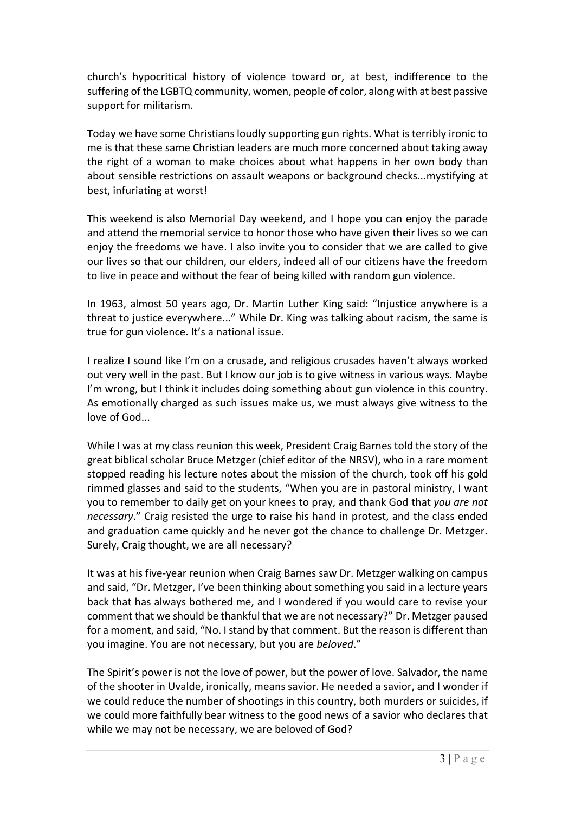church's hypocritical history of violence toward or, at best, indifference to the suffering of the LGBTQ community, women, people of color, along with at best passive support for militarism.

Today we have some Christians loudly supporting gun rights. What is terribly ironic to me is that these same Christian leaders are much more concerned about taking away the right of a woman to make choices about what happens in her own body than about sensible restrictions on assault weapons or background checks...mystifying at best, infuriating at worst!

This weekend is also Memorial Day weekend, and I hope you can enjoy the parade and attend the memorial service to honor those who have given their lives so we can enjoy the freedoms we have. I also invite you to consider that we are called to give our lives so that our children, our elders, indeed all of our citizens have the freedom to live in peace and without the fear of being killed with random gun violence.

In 1963, almost 50 years ago, Dr. Martin Luther King said: "Injustice anywhere is a threat to justice everywhere..." While Dr. King was talking about racism, the same is true for gun violence. It's a national issue.

I realize I sound like I'm on a crusade, and religious crusades haven't always worked out very well in the past. But I know our job is to give witness in various ways. Maybe I'm wrong, but I think it includes doing something about gun violence in this country. As emotionally charged as such issues make us, we must always give witness to the love of God...

While I was at my class reunion this week, President Craig Barnes told the story of the great biblical scholar Bruce Metzger (chief editor of the NRSV), who in a rare moment stopped reading his lecture notes about the mission of the church, took off his gold rimmed glasses and said to the students, "When you are in pastoral ministry, I want you to remember to daily get on your knees to pray, and thank God that *you are not necessary*." Craig resisted the urge to raise his hand in protest, and the class ended and graduation came quickly and he never got the chance to challenge Dr. Metzger. Surely, Craig thought, we are all necessary?

It was at his five-year reunion when Craig Barnes saw Dr. Metzger walking on campus and said, "Dr. Metzger, I've been thinking about something you said in a lecture years back that has always bothered me, and I wondered if you would care to revise your comment that we should be thankful that we are not necessary?" Dr. Metzger paused for a moment, and said, "No. I stand by that comment. But the reason is different than you imagine. You are not necessary, but you are *beloved*."

The Spirit's power is not the love of power, but the power of love. Salvador, the name of the shooter in Uvalde, ironically, means savior. He needed a savior, and I wonder if we could reduce the number of shootings in this country, both murders or suicides, if we could more faithfully bear witness to the good news of a savior who declares that while we may not be necessary, we are beloved of God?